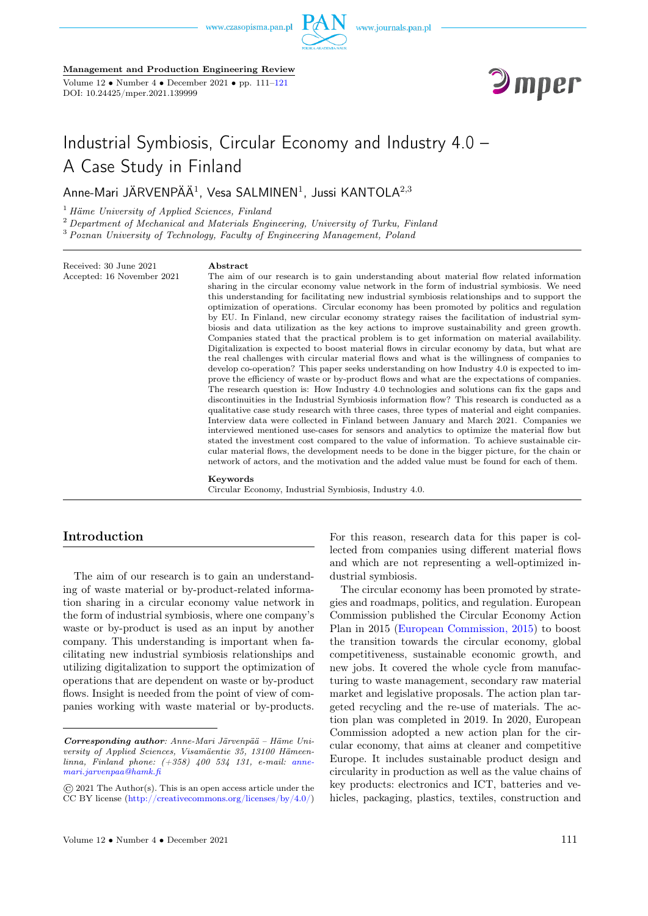

#### Management and Production Engineering Review

Volume  $12 \cdot \text{Number } 4 \cdot \text{December } 2021 \cdot \text{pp. } 111-121$ DOI: 10.24425/mper.2021.139999



# Industrial Symbiosis, Circular Economy and Industry 4.0 – A Case Study in Finland

Anne-Mari JÄRVENPÄÄ $^1$ , Vesa SALMINEN $^1$ , Jussi KANTOLA $^{2,3}$ 

 $<sup>1</sup>$  Häme University of Applied Sciences, Finland</sup>

 $2$  Department of Mechanical and Materials Engineering, University of Turku, Finland <sup>3</sup> Poznan University of Technology, Faculty of Engineering Management, Poland

Received: 30 June 2021 Accepted: 16 November 2021

#### Abstract

The aim of our research is to gain understanding about material flow related information sharing in the circular economy value network in the form of industrial symbiosis. We need this understanding for facilitating new industrial symbiosis relationships and to support the optimization of operations. Circular economy has been promoted by politics and regulation by EU. In Finland, new circular economy strategy raises the facilitation of industrial symbiosis and data utilization as the key actions to improve sustainability and green growth. Companies stated that the practical problem is to get information on material availability. Digitalization is expected to boost material flows in circular economy by data, but what are the real challenges with circular material flows and what is the willingness of companies to develop co-operation? This paper seeks understanding on how Industry 4.0 is expected to improve the efficiency of waste or by-product flows and what are the expectations of companies. The research question is: How Industry 4.0 technologies and solutions can fix the gaps and discontinuities in the Industrial Symbiosis information flow? This research is conducted as a qualitative case study research with three cases, three types of material and eight companies. Interview data were collected in Finland between January and March 2021. Companies we interviewed mentioned use-cases for sensors and analytics to optimize the material flow but stated the investment cost compared to the value of information. To achieve sustainable circular material flows, the development needs to be done in the bigger picture, for the chain or network of actors, and the motivation and the added value must be found for each of them.

#### Keywords

Circular Economy, Industrial Symbiosis, Industry 4.0.

# Introduction

The aim of our research is to gain an understanding of waste material or by-product-related information sharing in a circular economy value network in the form of industrial symbiosis, where one company's waste or by-product is used as an input by another company. This understanding is important when facilitating new industrial symbiosis relationships and utilizing digitalization to support the optimization of operations that are dependent on waste or by-product flows. Insight is needed from the point of view of companies working with waste material or by-products.

For this reason, research data for this paper is collected from companies using different material flows and which are not representing a well-optimized industrial symbiosis.

The circular economy has been promoted by strategies and roadmaps, politics, and regulation. European Commission published the Circular Economy Action Plan in 2015 [\(European Commission, 2015\)](#page-9-0) to boost the transition towards the circular economy, global competitiveness, sustainable economic growth, and new jobs. It covered the whole cycle from manufacturing to waste management, secondary raw material market and legislative proposals. The action plan targeted recycling and the re-use of materials. The action plan was completed in 2019. In 2020, European Commission adopted a new action plan for the circular economy, that aims at cleaner and competitive Europe. It includes sustainable product design and circularity in production as well as the value chains of key products: electronics and ICT, batteries and vehicles, packaging, plastics, textiles, construction and

Corresponding author: Anne-Mari Järvenpää – Häme University of Applied Sciences, Visamäentie 35, 13100 Hämeenlinna, Finland phone: (+358) 400 534 131, e-mail: [anne](mailto: anne-mari.jarvenpaa@hamk.fi)[mari.jarvenpaa@hamk.fi](mailto: anne-mari.jarvenpaa@hamk.fi)

<sup>©</sup> 2021 The Author(s). This is an open access article under the CC BY license [\(http://creativecommons.org/licenses/by/4.0/\)](http://creativecommons.org/licenses/by/4.0/)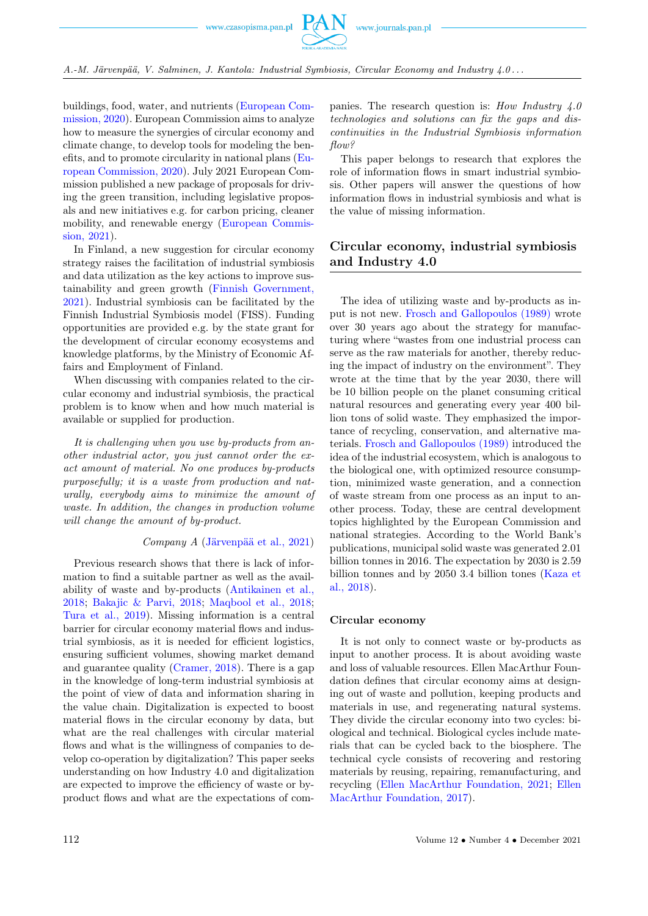

buildings, food, water, and nutrients [\(European Com](#page-9-0)[mission, 2020\)](#page-9-0). European Commission aims to analyze how to measure the synergies of circular economy and climate change, to develop tools for modeling the benefits, and to promote circularity in national plans [\(Eu](#page-9-0)[ropean Commission, 2020\)](#page-9-0). July 2021 European Commission published a new package of proposals for driving the green transition, including legislative proposals and new initiatives e.g. for carbon pricing, cleaner mobility, and renewable energy [\(European Commis](#page-9-0)[sion, 2021\)](#page-9-0).

In Finland, a new suggestion for circular economy strategy raises the facilitation of industrial symbiosis and data utilization as the key actions to improve sustainability and green growth [\(Finnish Government,](#page-9-0) [2021\)](#page-9-0). Industrial symbiosis can be facilitated by the Finnish Industrial Symbiosis model (FISS). Funding opportunities are provided e.g. by the state grant for the development of circular economy ecosystems and knowledge platforms, by the Ministry of Economic Affairs and Employment of Finland.

When discussing with companies related to the circular economy and industrial symbiosis, the practical problem is to know when and how much material is available or supplied for production.

It is challenging when you use by-products from another industrial actor, you just cannot order the exact amount of material. No one produces by-products purposefully; it is a waste from production and naturally, everybody aims to minimize the amount of waste. In addition, the changes in production volume will change the amount of by-product.

## Company A [\(Järvenpää et al., 2021\)](#page-9-0)

Previous research shows that there is lack of information to find a suitable partner as well as the availability of waste and by-products [\(Antikainen et al.,](#page-9-0) [2018;](#page-9-0) [Bakajic & Parvi, 2018;](#page-9-0) [Maqbool et al., 2018;](#page-9-0) [Tura et al., 2019\)](#page-9-0). Missing information is a central barrier for circular economy material flows and industrial symbiosis, as it is needed for efficient logistics, ensuring sufficient volumes, showing market demand and guarantee quality [\(Cramer, 2018\)](#page-9-0). There is a gap in the knowledge of long-term industrial symbiosis at the point of view of data and information sharing in the value chain. Digitalization is expected to boost material flows in the circular economy by data, but what are the real challenges with circular material flows and what is the willingness of companies to develop co-operation by digitalization? This paper seeks understanding on how Industry 4.0 and digitalization are expected to improve the efficiency of waste or byproduct flows and what are the expectations of com-

panies. The research question is: How Industry  $4.0$ technologies and solutions can fix the gaps and discontinuities in the Industrial Symbiosis information flow?

This paper belongs to research that explores the role of information flows in smart industrial symbiosis. Other papers will answer the questions of how information flows in industrial symbiosis and what is the value of missing information.

# Circular economy, industrial symbiosis and Industry 4.0

The idea of utilizing waste and by-products as input is not new. [Frosch and Gallopoulos \(1989\)](#page-9-0) wrote over 30 years ago about the strategy for manufacturing where "wastes from one industrial process can serve as the raw materials for another, thereby reducing the impact of industry on the environment". They wrote at the time that by the year 2030, there will be 10 billion people on the planet consuming critical natural resources and generating every year 400 billion tons of solid waste. They emphasized the importance of recycling, conservation, and alternative materials. [Frosch and Gallopoulos \(1989\)](#page-9-0) introduced the idea of the industrial ecosystem, which is analogous to the biological one, with optimized resource consumption, minimized waste generation, and a connection of waste stream from one process as an input to another process. Today, these are central development topics highlighted by the European Commission and national strategies. According to the World Bank's publications, municipal solid waste was generated 2.01 billion tonnes in 2016. The expectation by 2030 is 2.59 billion tonnes and by 2050 3.4 billion tones [\(Kaza et](#page-9-0) [al., 2018\)](#page-9-0).

#### Circular economy

It is not only to connect waste or by-products as input to another process. It is about avoiding waste and loss of valuable resources. Ellen MacArthur Foundation defines that circular economy aims at designing out of waste and pollution, keeping products and materials in use, and regenerating natural systems. They divide the circular economy into two cycles: biological and technical. Biological cycles include materials that can be cycled back to the biosphere. The technical cycle consists of recovering and restoring materials by reusing, repairing, remanufacturing, and recycling [\(Ellen MacArthur Foundation, 2021;](#page-9-0) [Ellen](#page-9-0) [MacArthur Foundation, 2017\)](#page-9-0).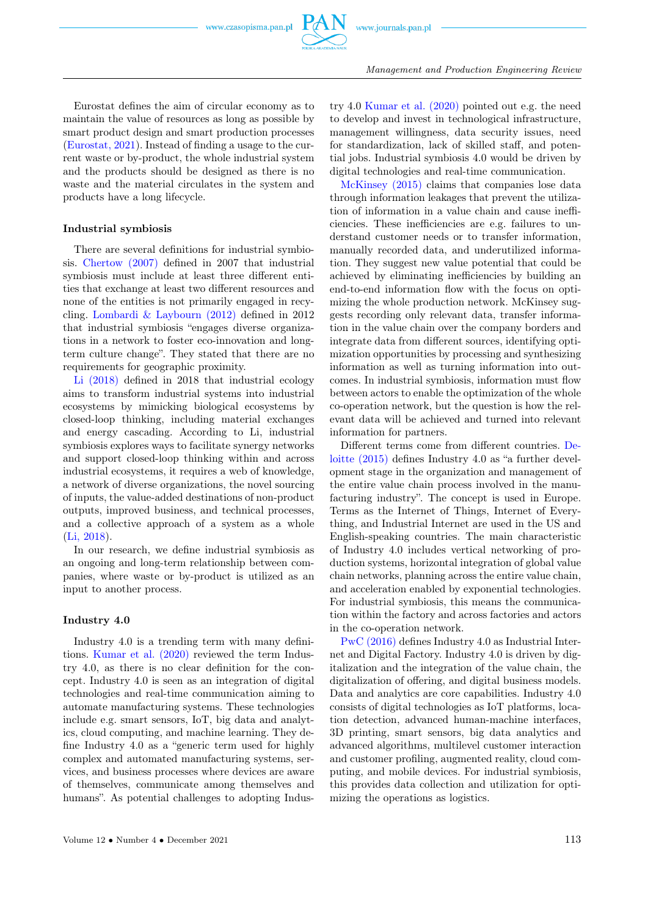

Eurostat defines the aim of circular economy as to maintain the value of resources as long as possible by smart product design and smart production processes [\(Eurostat, 2021\)](#page-9-0). Instead of finding a usage to the current waste or by-product, the whole industrial system and the products should be designed as there is no waste and the material circulates in the system and products have a long lifecycle.

### Industrial symbiosis

There are several definitions for industrial symbiosis. [Chertow \(2007\)](#page-9-0) defined in 2007 that industrial symbiosis must include at least three different entities that exchange at least two different resources and none of the entities is not primarily engaged in recycling. [Lombardi & Laybourn \(2012\)](#page-9-0) defined in 2012 that industrial symbiosis "engages diverse organizations in a network to foster eco-innovation and longterm culture change". They stated that there are no requirements for geographic proximity.

[Li \(2018\)](#page-9-0) defined in 2018 that industrial ecology aims to transform industrial systems into industrial ecosystems by mimicking biological ecosystems by closed-loop thinking, including material exchanges and energy cascading. According to Li, industrial symbiosis explores ways to facilitate synergy networks and support closed-loop thinking within and across industrial ecosystems, it requires a web of knowledge, a network of diverse organizations, the novel sourcing of inputs, the value-added destinations of non-product outputs, improved business, and technical processes, and a collective approach of a system as a whole [\(Li, 2018\)](#page-9-0).

In our research, we define industrial symbiosis as an ongoing and long-term relationship between companies, where waste or by-product is utilized as an input to another process.

## Industry 4.0

Industry 4.0 is a trending term with many definitions. [Kumar et al. \(2020\)](#page-9-0) reviewed the term Industry 4.0, as there is no clear definition for the concept. Industry 4.0 is seen as an integration of digital technologies and real-time communication aiming to automate manufacturing systems. These technologies include e.g. smart sensors, IoT, big data and analytics, cloud computing, and machine learning. They define Industry 4.0 as a "generic term used for highly complex and automated manufacturing systems, services, and business processes where devices are aware of themselves, communicate among themselves and humans". As potential challenges to adopting Indus-

try 4.0 [Kumar et al. \(2020\)](#page-9-0) pointed out e.g. the need to develop and invest in technological infrastructure, management willingness, data security issues, need for standardization, lack of skilled staff, and potential jobs. Industrial symbiosis 4.0 would be driven by digital technologies and real-time communication.

[McKinsey \(2015\)](#page-9-0) claims that companies lose data through information leakages that prevent the utilization of information in a value chain and cause inefficiencies. These inefficiencies are e.g. failures to understand customer needs or to transfer information, manually recorded data, and underutilized information. They suggest new value potential that could be achieved by eliminating inefficiencies by building an end-to-end information flow with the focus on optimizing the whole production network. McKinsey suggests recording only relevant data, transfer information in the value chain over the company borders and integrate data from different sources, identifying optimization opportunities by processing and synthesizing information as well as turning information into outcomes. In industrial symbiosis, information must flow between actors to enable the optimization of the whole co-operation network, but the question is how the relevant data will be achieved and turned into relevant information for partners.

Different terms come from different countries. [De](#page-9-0)[loitte \(2015\)](#page-9-0) defines Industry 4.0 as "a further development stage in the organization and management of the entire value chain process involved in the manufacturing industry". The concept is used in Europe. Terms as the Internet of Things, Internet of Everything, and Industrial Internet are used in the US and English-speaking countries. The main characteristic of Industry 4.0 includes vertical networking of production systems, horizontal integration of global value chain networks, planning across the entire value chain, and acceleration enabled by exponential technologies. For industrial symbiosis, this means the communication within the factory and across factories and actors in the co-operation network.

[PwC \(2016\)](#page-9-0) defines Industry 4.0 as Industrial Internet and Digital Factory. Industry 4.0 is driven by digitalization and the integration of the value chain, the digitalization of offering, and digital business models. Data and analytics are core capabilities. Industry 4.0 consists of digital technologies as IoT platforms, location detection, advanced human-machine interfaces, 3D printing, smart sensors, big data analytics and advanced algorithms, multilevel customer interaction and customer profiling, augmented reality, cloud computing, and mobile devices. For industrial symbiosis, this provides data collection and utilization for optimizing the operations as logistics.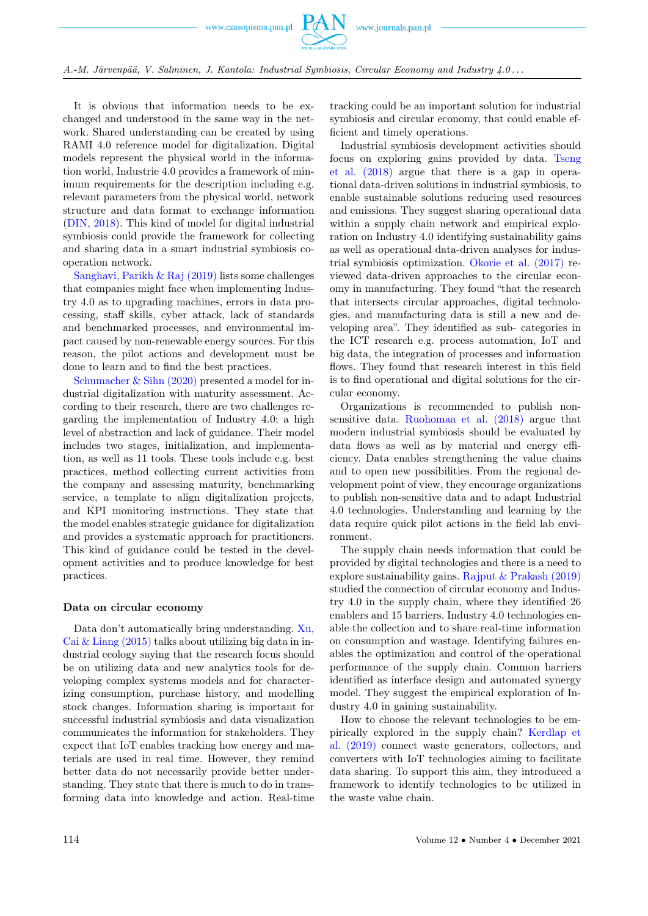

A.-M. Järvenpää, V. Salminen, J. Kantola: Industrial Symbiosis, Circular Economy and Industry 4.0 . . .

It is obvious that information needs to be exchanged and understood in the same way in the network. Shared understanding can be created by using RAMI 4.0 reference model for digitalization. Digital models represent the physical world in the information world, Industrie 4.0 provides a framework of minimum requirements for the description including e.g. relevant parameters from the physical world, network structure and data format to exchange information [\(DIN, 2018\)](#page-9-0). This kind of model for digital industrial symbiosis could provide the framework for collecting and sharing data in a smart industrial symbiosis cooperation network.

[Sanghavi, Parikh & Raj \(2019\)](#page-9-0) lists some challenges that companies might face when implementing Industry 4.0 as to upgrading machines, errors in data processing, staff skills, cyber attack, lack of standards and benchmarked processes, and environmental impact caused by non-renewable energy sources. For this reason, the pilot actions and development must be done to learn and to find the best practices.

[Schumacher & Sihn \(2020\)](#page-9-0) presented a model for industrial digitalization with maturity assessment. According to their research, there are two challenges regarding the implementation of Industry 4.0: a high level of abstraction and lack of guidance. Their model includes two stages, initialization, and implementation, as well as 11 tools. These tools include e.g. best practices, method collecting current activities from the company and assessing maturity, benchmarking service, a template to align digitalization projects, and KPI monitoring instructions. They state that the model enables strategic guidance for digitalization and provides a systematic approach for practitioners. This kind of guidance could be tested in the development activities and to produce knowledge for best practices.

#### Data on circular economy

Data don't automatically bring understanding. [Xu,](#page-9-0)  $Cai & Liang (2015)$  talks about utilizing big data in industrial ecology saying that the research focus should be on utilizing data and new analytics tools for developing complex systems models and for characterizing consumption, purchase history, and modelling stock changes. Information sharing is important for successful industrial symbiosis and data visualization communicates the information for stakeholders. They expect that IoT enables tracking how energy and materials are used in real time. However, they remind better data do not necessarily provide better understanding. They state that there is much to do in transforming data into knowledge and action. Real-time

tracking could be an important solution for industrial symbiosis and circular economy, that could enable efficient and timely operations.

Industrial symbiosis development activities should focus on exploring gains provided by data. [Tseng](#page-9-0) [et al. \(2018\)](#page-9-0) argue that there is a gap in operational data-driven solutions in industrial symbiosis, to enable sustainable solutions reducing used resources and emissions. They suggest sharing operational data within a supply chain network and empirical exploration on Industry 4.0 identifying sustainability gains as well as operational data-driven analyses for industrial symbiosis optimization. [Okorie et al. \(2017\)](#page-9-0) reviewed data-driven approaches to the circular economy in manufacturing. They found "that the research that intersects circular approaches, digital technologies, and manufacturing data is still a new and developing area". They identified as sub- categories in the ICT research e.g. process automation, IoT and big data, the integration of processes and information flows. They found that research interest in this field is to find operational and digital solutions for the circular economy.

Organizations is recommended to publish nonsensitive data. [Ruohomaa et al. \(2018\)](#page-9-0) argue that modern industrial symbiosis should be evaluated by data flows as well as by material and energy efficiency. Data enables strengthening the value chains and to open new possibilities. From the regional development point of view, they encourage organizations to publish non-sensitive data and to adapt Industrial 4.0 technologies. Understanding and learning by the data require quick pilot actions in the field lab environment.

The supply chain needs information that could be provided by digital technologies and there is a need to explore sustainability gains. [Rajput & Prakash \(2019\)](#page-9-0) studied the connection of circular economy and Industry 4.0 in the supply chain, where they identified 26 enablers and 15 barriers. Industry 4.0 technologies enable the collection and to share real-time information on consumption and wastage. Identifying failures enables the optimization and control of the operational performance of the supply chain. Common barriers identified as interface design and automated synergy model. They suggest the empirical exploration of Industry 4.0 in gaining sustainability.

How to choose the relevant technologies to be empirically explored in the supply chain? [Kerdlap et](#page-9-0) [al. \(2019\)](#page-9-0) connect waste generators, collectors, and converters with IoT technologies aiming to facilitate data sharing. To support this aim, they introduced a framework to identify technologies to be utilized in the waste value chain.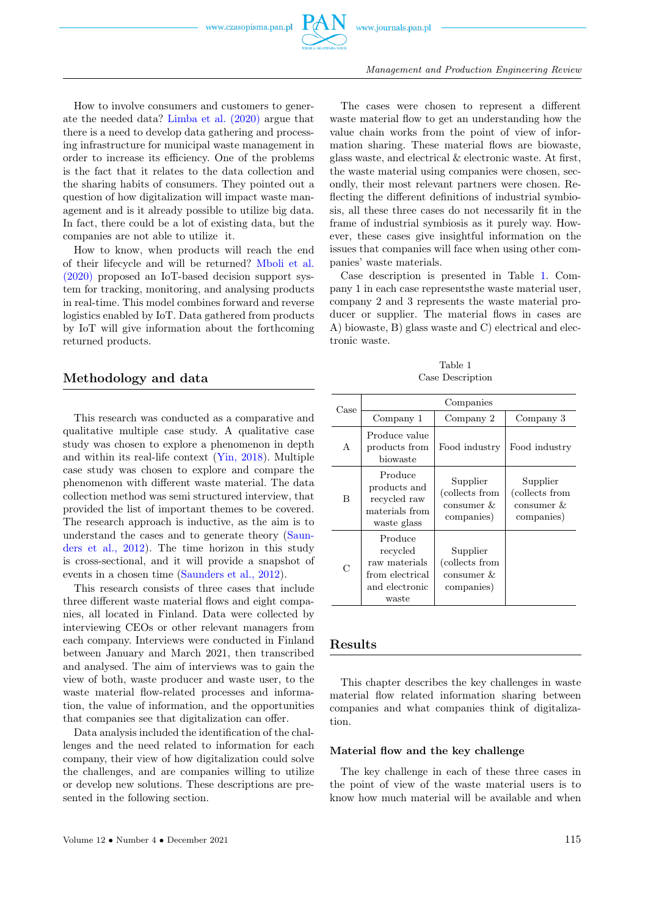

How to involve consumers and customers to generate the needed data? [Limba et al. \(2020\)](#page-9-0) argue that there is a need to develop data gathering and processing infrastructure for municipal waste management in order to increase its efficiency. One of the problems is the fact that it relates to the data collection and the sharing habits of consumers. They pointed out a question of how digitalization will impact waste management and is it already possible to utilize big data. In fact, there could be a lot of existing data, but the companies are not able to utilize it.

How to know, when products will reach the end of their lifecycle and will be returned? [Mboli et al.](#page-9-0) [\(2020\)](#page-9-0) proposed an IoT-based decision support system for tracking, monitoring, and analysing products in real-time. This model combines forward and reverse logistics enabled by IoT. Data gathered from products by IoT will give information about the forthcoming returned products.

# Methodology and data

This research was conducted as a comparative and qualitative multiple case study. A qualitative case study was chosen to explore a phenomenon in depth and within its real-life context [\(Yin, 2018\)](#page-9-0). Multiple case study was chosen to explore and compare the phenomenon with different waste material. The data collection method was semi structured interview, that provided the list of important themes to be covered. The research approach is inductive, as the aim is to understand the cases and to generate theory [\(Saun](#page-9-0)[ders et al., 2012\)](#page-9-0). The time horizon in this study is cross-sectional, and it will provide a snapshot of events in a chosen time [\(Saunders et al., 2012\)](#page-9-0).

This research consists of three cases that include three different waste material flows and eight companies, all located in Finland. Data were collected by interviewing CEOs or other relevant managers from each company. Interviews were conducted in Finland between January and March 2021, then transcribed and analysed. The aim of interviews was to gain the view of both, waste producer and waste user, to the waste material flow-related processes and information, the value of information, and the opportunities that companies see that digitalization can offer.

Data analysis included the identification of the challenges and the need related to information for each company, their view of how digitalization could solve the challenges, and are companies willing to utilize or develop new solutions. These descriptions are presented in the following section.

The cases were chosen to represent a different waste material flow to get an understanding how the value chain works from the point of view of information sharing. These material flows are biowaste, glass waste, and electrical & electronic waste. At first, the waste material using companies were chosen, secondly, their most relevant partners were chosen. Reflecting the different definitions of industrial symbiosis, all these three cases do not necessarily fit in the frame of industrial symbiosis as it purely way. However, these cases give insightful information on the issues that companies will face when using other companies' waste materials.

Case description is presented in Table [1.](#page-4-0) Company 1 in each case representsthe waste material user, company 2 and 3 represents the waste material producer or supplier. The material flows in cases are A) biowaste, B) glass waste and C) electrical and electronic waste.

Table 1 Case Description

<span id="page-4-0"></span>

| Case | Companies                                                                          |                                                        |                                                        |  |
|------|------------------------------------------------------------------------------------|--------------------------------------------------------|--------------------------------------------------------|--|
|      | Company 1                                                                          | Company 2                                              | Company 3                                              |  |
| A    | Produce value<br>products from<br>biowaste                                         | Food industry                                          | Food industry                                          |  |
| B    | Produce<br>products and<br>recycled raw<br>materials from<br>waste glass           | Supplier<br>(collects from<br>consumer &<br>companies) | Supplier<br>(collects from<br>consumer &<br>companies) |  |
| C    | Produce<br>recycled<br>raw materials<br>from electrical<br>and electronic<br>waste | Supplier<br>(collects from<br>consumer &<br>companies) |                                                        |  |

# Results

This chapter describes the key challenges in waste material flow related information sharing between companies and what companies think of digitalization.

## Material flow and the key challenge

The key challenge in each of these three cases in the point of view of the waste material users is to know how much material will be available and when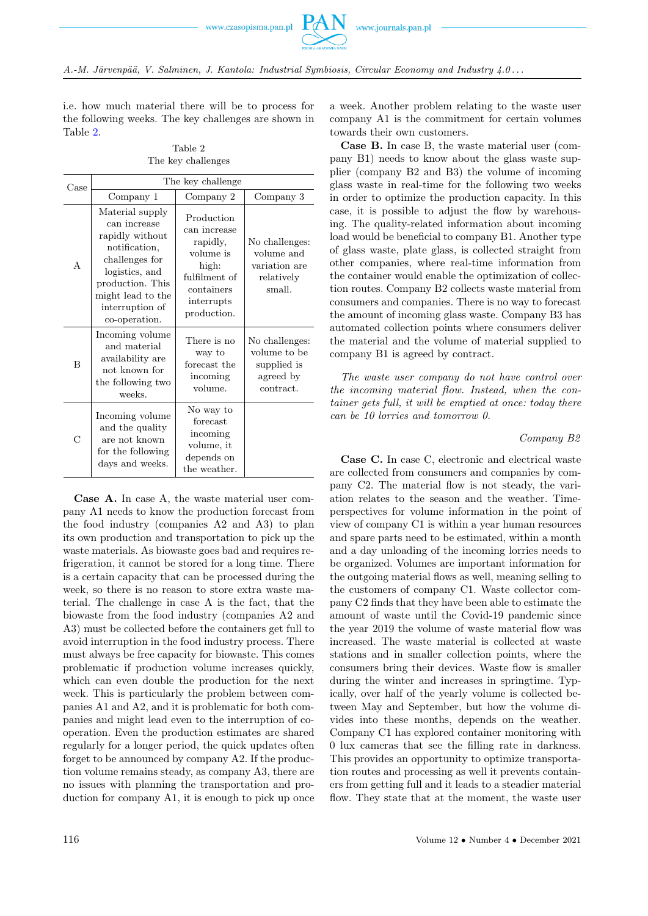

i.e. how much material there will be to process for the following weeks. The key challenges are shown in Table [2.](#page-5-0)

Table 2 The key challenges

<span id="page-5-0"></span>

| Case         | The key challenge                                                                                                                                                                    |                                                                                                                          |                                                                         |  |
|--------------|--------------------------------------------------------------------------------------------------------------------------------------------------------------------------------------|--------------------------------------------------------------------------------------------------------------------------|-------------------------------------------------------------------------|--|
|              | Company 1                                                                                                                                                                            | Company 2                                                                                                                | Company 3                                                               |  |
| $\mathsf{A}$ | Material supply<br>can increase<br>rapidly without<br>notification,<br>challenges for<br>logistics, and<br>production. This<br>might lead to the<br>interruption of<br>co-operation. | Production<br>can increase<br>rapidly,<br>volume is<br>high:<br>fulfilment of<br>containers<br>interrupts<br>production. | No challenges:<br>volume and<br>variation are<br>relatively<br>small.   |  |
| B            | Incoming volume<br>and material<br>availability are<br>not known for<br>the following two<br>weeks.                                                                                  | There is no<br>way to<br>forecast the<br>incoming<br>volume.                                                             | No challenges:<br>volume to be<br>supplied is<br>agreed by<br>contract. |  |
| С            | Incoming volume<br>and the quality<br>are not known<br>for the following<br>days and weeks.                                                                                          | No way to<br>forecast<br>incoming<br>volume, it<br>depends on<br>the weather.                                            |                                                                         |  |

Case A. In case A, the waste material user company A1 needs to know the production forecast from the food industry (companies A2 and A3) to plan its own production and transportation to pick up the waste materials. As biowaste goes bad and requires refrigeration, it cannot be stored for a long time. There is a certain capacity that can be processed during the week, so there is no reason to store extra waste material. The challenge in case A is the fact, that the biowaste from the food industry (companies A2 and A3) must be collected before the containers get full to avoid interruption in the food industry process. There must always be free capacity for biowaste. This comes problematic if production volume increases quickly, which can even double the production for the next week. This is particularly the problem between companies A1 and A2, and it is problematic for both companies and might lead even to the interruption of cooperation. Even the production estimates are shared regularly for a longer period, the quick updates often forget to be announced by company A2. If the production volume remains steady, as company A3, there are no issues with planning the transportation and production for company A1, it is enough to pick up once

a week. Another problem relating to the waste user company A1 is the commitment for certain volumes towards their own customers.

Case B. In case B, the waste material user (company B1) needs to know about the glass waste supplier (company B2 and B3) the volume of incoming glass waste in real-time for the following two weeks in order to optimize the production capacity. In this case, it is possible to adjust the flow by warehousing. The quality-related information about incoming load would be beneficial to company B1. Another type of glass waste, plate glass, is collected straight from other companies, where real-time information from the container would enable the optimization of collection routes. Company B2 collects waste material from consumers and companies. There is no way to forecast the amount of incoming glass waste. Company B3 has automated collection points where consumers deliver the material and the volume of material supplied to company B1 is agreed by contract.

The waste user company do not have control over the incoming material flow. Instead, when the container gets full, it will be emptied at once: today there can be 10 lorries and tomorrow 0.

## Company B2

Case C. In case C, electronic and electrical waste are collected from consumers and companies by company C2. The material flow is not steady, the variation relates to the season and the weather. Timeperspectives for volume information in the point of view of company C1 is within a year human resources and spare parts need to be estimated, within a month and a day unloading of the incoming lorries needs to be organized. Volumes are important information for the outgoing material flows as well, meaning selling to the customers of company C1. Waste collector company C2 finds that they have been able to estimate the amount of waste until the Covid-19 pandemic since the year 2019 the volume of waste material flow was increased. The waste material is collected at waste stations and in smaller collection points, where the consumers bring their devices. Waste flow is smaller during the winter and increases in springtime. Typically, over half of the yearly volume is collected between May and September, but how the volume divides into these months, depends on the weather. Company C1 has explored container monitoring with 0 lux cameras that see the filling rate in darkness. This provides an opportunity to optimize transportation routes and processing as well it prevents containers from getting full and it leads to a steadier material flow. They state that at the moment, the waste user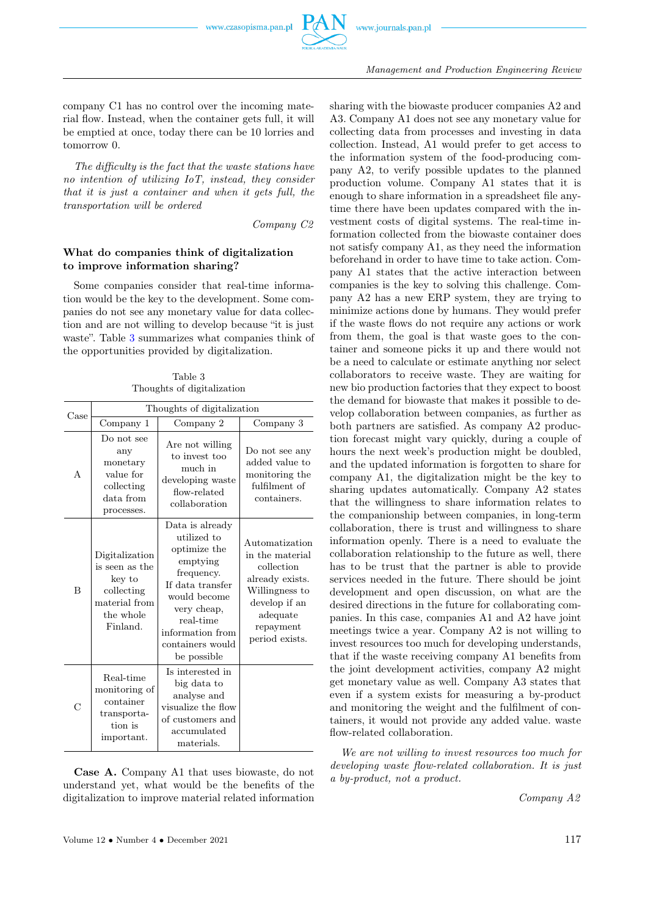

company C1 has no control over the incoming material flow. Instead, when the container gets full, it will be emptied at once, today there can be 10 lorries and tomorrow 0.

The difficulty is the fact that the waste stations have no intention of utilizing IoT, instead, they consider that it is just a container and when it gets full, the transportation will be ordered

Company C2

## What do companies think of digitalization to improve information sharing?

Some companies consider that real-time information would be the key to the development. Some companies do not see any monetary value for data collection and are not willing to develop because "it is just waste". Table [3](#page-6-0) summarizes what companies think of the opportunities provided by digitalization.

Table 3 Thoughts of digitalization

<span id="page-6-0"></span>

| Case | Thoughts of digitalization                                                                         |                                                                                                                                                                                                 |                                                                                                                                                  |  |
|------|----------------------------------------------------------------------------------------------------|-------------------------------------------------------------------------------------------------------------------------------------------------------------------------------------------------|--------------------------------------------------------------------------------------------------------------------------------------------------|--|
|      | Company 1                                                                                          | Company 2                                                                                                                                                                                       | Company 3                                                                                                                                        |  |
| A    | Do not see<br>any<br>monetary<br>value for<br>collecting<br>data from<br>processes.                | Are not willing<br>to invest too<br>much in<br>developing waste<br>flow-related<br>collaboration                                                                                                | Do not see any<br>added value to<br>monitoring the<br>fulfilment of<br>containers.                                                               |  |
| B    | Digitalization<br>is seen as the<br>key to<br>collecting<br>material from<br>the whole<br>Finland. | Data is already<br>utilized to<br>optimize the<br>emptying<br>frequency.<br>If data transfer<br>would become<br>very cheap,<br>real-time<br>information from<br>containers would<br>be possible | Automatization<br>in the material<br>collection<br>already exists.<br>Willingness to<br>develop if an<br>adequate<br>repayment<br>period exists. |  |
| C    | Real-time<br>monitoring of<br>container<br>transporta-<br>tion is<br>important.                    | Is interested in<br>big data to<br>analyse and<br>visualize the flow<br>of customers and<br>accumulated<br>materials.                                                                           |                                                                                                                                                  |  |

Case A. Company A1 that uses biowaste, do not understand yet, what would be the benefits of the digitalization to improve material related information

sharing with the biowaste producer companies A2 and A3. Company A1 does not see any monetary value for collecting data from processes and investing in data collection. Instead, A1 would prefer to get access to the information system of the food-producing company A2, to verify possible updates to the planned production volume. Company A1 states that it is enough to share information in a spreadsheet file anytime there have been updates compared with the investment costs of digital systems. The real-time information collected from the biowaste container does not satisfy company A1, as they need the information beforehand in order to have time to take action. Company A1 states that the active interaction between companies is the key to solving this challenge. Company A2 has a new ERP system, they are trying to minimize actions done by humans. They would prefer if the waste flows do not require any actions or work from them, the goal is that waste goes to the container and someone picks it up and there would not be a need to calculate or estimate anything nor select collaborators to receive waste. They are waiting for new bio production factories that they expect to boost the demand for biowaste that makes it possible to develop collaboration between companies, as further as both partners are satisfied. As company A2 production forecast might vary quickly, during a couple of hours the next week's production might be doubled, and the updated information is forgotten to share for company A1, the digitalization might be the key to sharing updates automatically. Company A2 states that the willingness to share information relates to the companionship between companies, in long-term collaboration, there is trust and willingness to share information openly. There is a need to evaluate the collaboration relationship to the future as well, there has to be trust that the partner is able to provide services needed in the future. There should be joint development and open discussion, on what are the desired directions in the future for collaborating companies. In this case, companies A1 and A2 have joint meetings twice a year. Company A2 is not willing to invest resources too much for developing understands, that if the waste receiving company A1 benefits from the joint development activities, company A2 might get monetary value as well. Company A3 states that even if a system exists for measuring a by-product and monitoring the weight and the fulfilment of containers, it would not provide any added value. waste flow-related collaboration.

We are not willing to invest resources too much for developing waste flow-related collaboration. It is just a by-product, not a product.

Company A2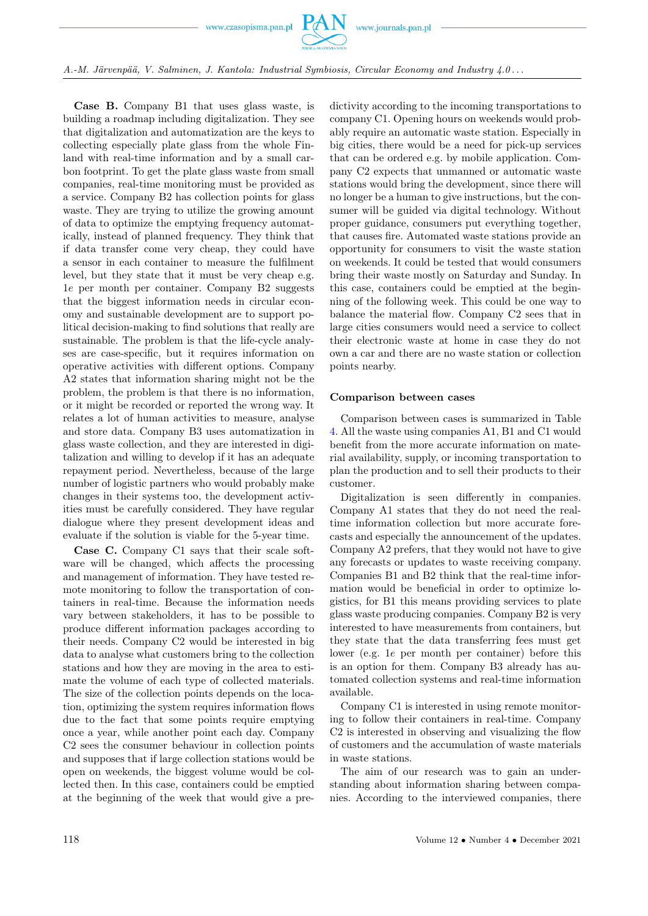

A.-M. Järvenpää, V. Salminen, J. Kantola: Industrial Symbiosis, Circular Economy and Industry 4.0 . . .

Case B. Company B1 that uses glass waste, is building a roadmap including digitalization. They see that digitalization and automatization are the keys to collecting especially plate glass from the whole Finland with real-time information and by a small carbon footprint. To get the plate glass waste from small companies, real-time monitoring must be provided as a service. Company B2 has collection points for glass waste. They are trying to utilize the growing amount of data to optimize the emptying frequency automatically, instead of planned frequency. They think that if data transfer come very cheap, they could have a sensor in each container to measure the fulfilment level, but they state that it must be very cheap e.g. 1e per month per container. Company B2 suggests that the biggest information needs in circular economy and sustainable development are to support political decision-making to find solutions that really are sustainable. The problem is that the life-cycle analyses are case-specific, but it requires information on operative activities with different options. Company A2 states that information sharing might not be the problem, the problem is that there is no information, or it might be recorded or reported the wrong way. It relates a lot of human activities to measure, analyse and store data. Company B3 uses automatization in glass waste collection, and they are interested in digitalization and willing to develop if it has an adequate repayment period. Nevertheless, because of the large number of logistic partners who would probably make changes in their systems too, the development activities must be carefully considered. They have regular dialogue where they present development ideas and evaluate if the solution is viable for the 5-year time.

Case C. Company C1 says that their scale software will be changed, which affects the processing and management of information. They have tested remote monitoring to follow the transportation of containers in real-time. Because the information needs vary between stakeholders, it has to be possible to produce different information packages according to their needs. Company C2 would be interested in big data to analyse what customers bring to the collection stations and how they are moving in the area to estimate the volume of each type of collected materials. The size of the collection points depends on the location, optimizing the system requires information flows due to the fact that some points require emptying once a year, while another point each day. Company C2 sees the consumer behaviour in collection points and supposes that if large collection stations would be open on weekends, the biggest volume would be collected then. In this case, containers could be emptied at the beginning of the week that would give a predictivity according to the incoming transportations to company C1. Opening hours on weekends would probably require an automatic waste station. Especially in big cities, there would be a need for pick-up services that can be ordered e.g. by mobile application. Company C2 expects that unmanned or automatic waste stations would bring the development, since there will no longer be a human to give instructions, but the consumer will be guided via digital technology. Without proper guidance, consumers put everything together, that causes fire. Automated waste stations provide an opportunity for consumers to visit the waste station on weekends. It could be tested that would consumers bring their waste mostly on Saturday and Sunday. In this case, containers could be emptied at the beginning of the following week. This could be one way to balance the material flow. Company C2 sees that in large cities consumers would need a service to collect their electronic waste at home in case they do not own a car and there are no waste station or collection points nearby.

#### Comparison between cases

Comparison between cases is summarized in Table [4.](#page-8-0) All the waste using companies A1, B1 and C1 would benefit from the more accurate information on material availability, supply, or incoming transportation to plan the production and to sell their products to their customer.

Digitalization is seen differently in companies. Company A1 states that they do not need the realtime information collection but more accurate forecasts and especially the announcement of the updates. Company A2 prefers, that they would not have to give any forecasts or updates to waste receiving company. Companies B1 and B2 think that the real-time information would be beneficial in order to optimize logistics, for B1 this means providing services to plate glass waste producing companies. Company B2 is very interested to have measurements from containers, but they state that the data transferring fees must get lower (e.g. 1e per month per container) before this is an option for them. Company B3 already has automated collection systems and real-time information available.

Company C1 is interested in using remote monitoring to follow their containers in real-time. Company C2 is interested in observing and visualizing the flow of customers and the accumulation of waste materials in waste stations.

The aim of our research was to gain an understanding about information sharing between companies. According to the interviewed companies, there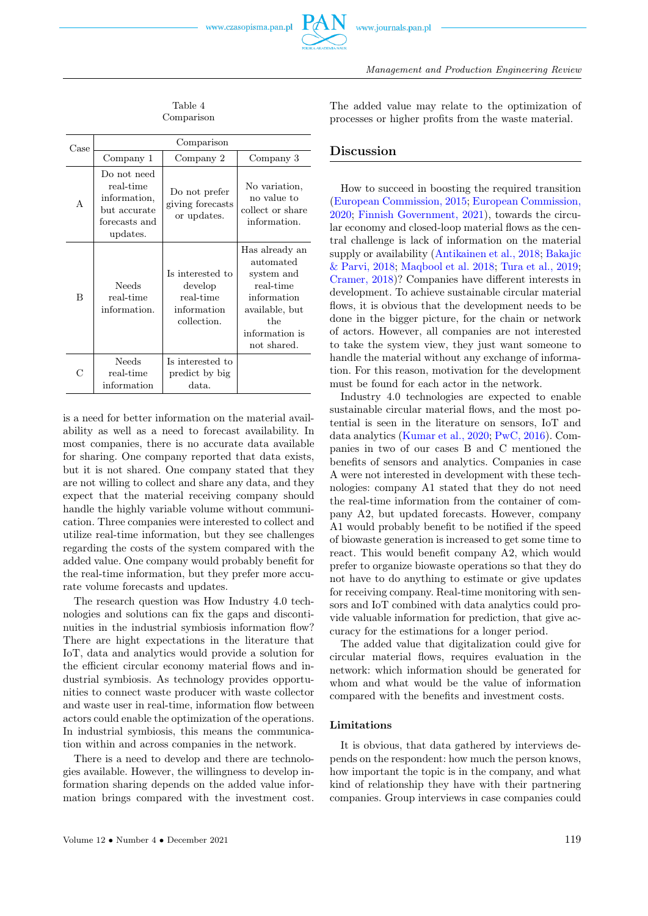

<span id="page-8-0"></span>

| Case           | Comparison                                                                            |                                                                        |                                                                                                                                 |  |
|----------------|---------------------------------------------------------------------------------------|------------------------------------------------------------------------|---------------------------------------------------------------------------------------------------------------------------------|--|
|                | Company 1                                                                             | Company 2                                                              | Company 3                                                                                                                       |  |
| A              | Do not need<br>real-time<br>information,<br>but accurate<br>forecasts and<br>updates. | Do not prefer<br>giving forecasts<br>or updates.                       | No variation,<br>no value to<br>collect or share<br>information.                                                                |  |
| $\overline{B}$ | Needs<br>real-time<br>information.                                                    | Is interested to<br>develop<br>real-time<br>information<br>collection. | Has already an<br>automated<br>system and<br>real-time<br>information<br>available, but<br>the<br>information is<br>not shared. |  |
| С              | Needs<br>real-time<br>information                                                     | Is interested to<br>predict by big<br>data.                            |                                                                                                                                 |  |

is a need for better information on the material availability as well as a need to forecast availability. In most companies, there is no accurate data available for sharing. One company reported that data exists, but it is not shared. One company stated that they are not willing to collect and share any data, and they expect that the material receiving company should handle the highly variable volume without communication. Three companies were interested to collect and utilize real-time information, but they see challenges regarding the costs of the system compared with the added value. One company would probably benefit for the real-time information, but they prefer more accurate volume forecasts and updates.

The research question was How Industry 4.0 technologies and solutions can fix the gaps and discontinuities in the industrial symbiosis information flow? There are hight expectations in the literature that IoT, data and analytics would provide a solution for the efficient circular economy material flows and industrial symbiosis. As technology provides opportunities to connect waste producer with waste collector and waste user in real-time, information flow between actors could enable the optimization of the operations. In industrial symbiosis, this means the communication within and across companies in the network.

There is a need to develop and there are technologies available. However, the willingness to develop information sharing depends on the added value information brings compared with the investment cost.

The added value may relate to the optimization of processes or higher profits from the waste material.

Management and Production Engineering Review

# Discussion

How to succeed in boosting the required transition [\(European Commission, 2015;](#page-9-0) [European Commission,](#page-9-0) [2020;](#page-9-0) [Finnish Government, 2021\)](#page-9-0), towards the circular economy and closed-loop material flows as the central challenge is lack of information on the material supply or availability [\(Antikainen et al., 2018;](#page-9-0) [Bakajic](#page-9-0) [& Parvi, 2018;](#page-9-0) [Maqbool et al. 2018;](#page-9-0) [Tura et al., 2019;](#page-9-0) [Cramer, 2018\)](#page-9-0)? Companies have different interests in development. To achieve sustainable circular material flows, it is obvious that the development needs to be done in the bigger picture, for the chain or network of actors. However, all companies are not interested to take the system view, they just want someone to handle the material without any exchange of information. For this reason, motivation for the development must be found for each actor in the network.

Industry 4.0 technologies are expected to enable sustainable circular material flows, and the most potential is seen in the literature on sensors, IoT and data analytics [\(Kumar et al., 2020;](#page-9-0) [PwC, 2016\)](#page-9-0). Companies in two of our cases B and C mentioned the benefits of sensors and analytics. Companies in case A were not interested in development with these technologies: company A1 stated that they do not need the real-time information from the container of company A2, but updated forecasts. However, company A1 would probably benefit to be notified if the speed of biowaste generation is increased to get some time to react. This would benefit company A2, which would prefer to organize biowaste operations so that they do not have to do anything to estimate or give updates for receiving company. Real-time monitoring with sensors and IoT combined with data analytics could provide valuable information for prediction, that give accuracy for the estimations for a longer period.

The added value that digitalization could give for circular material flows, requires evaluation in the network: which information should be generated for whom and what would be the value of information compared with the benefits and investment costs.

## Limitations

It is obvious, that data gathered by interviews depends on the respondent: how much the person knows, how important the topic is in the company, and what kind of relationship they have with their partnering companies. Group interviews in case companies could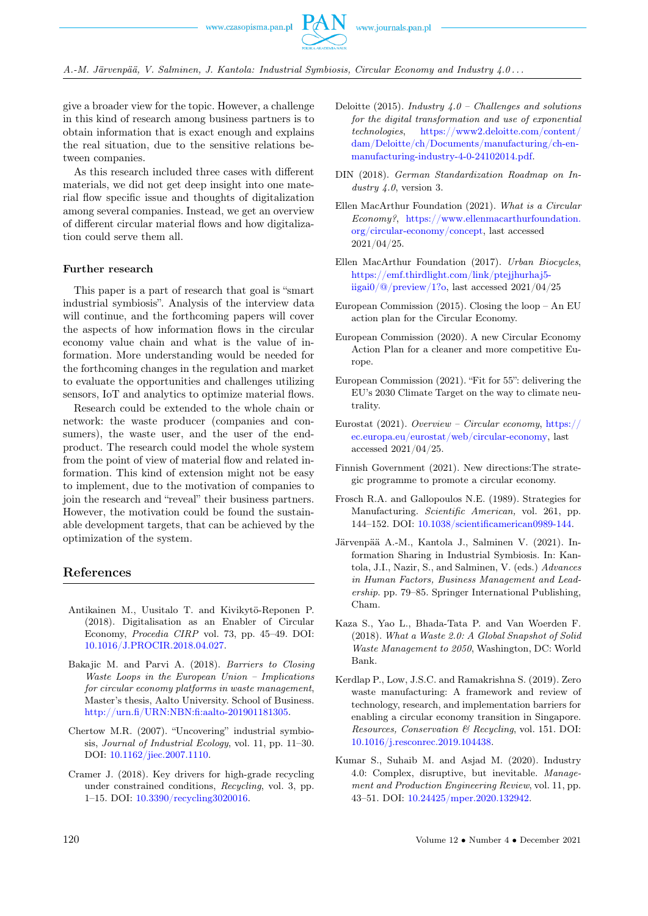

give a broader view for the topic. However, a challenge in this kind of research among business partners is to obtain information that is exact enough and explains the real situation, due to the sensitive relations between companies.

As this research included three cases with different materials, we did not get deep insight into one material flow specific issue and thoughts of digitalization among several companies. Instead, we get an overview of different circular material flows and how digitalization could serve them all.

## Further research

This paper is a part of research that goal is "smart industrial symbiosis". Analysis of the interview data will continue, and the forthcoming papers will cover the aspects of how information flows in the circular economy value chain and what is the value of information. More understanding would be needed for the forthcoming changes in the regulation and market to evaluate the opportunities and challenges utilizing sensors, IoT and analytics to optimize material flows.

Research could be extended to the whole chain or network: the waste producer (companies and consumers), the waste user, and the user of the endproduct. The research could model the whole system from the point of view of material flow and related information. This kind of extension might not be easy to implement, due to the motivation of companies to join the research and "reveal" their business partners. However, the motivation could be found the sustainable development targets, that can be achieved by the optimization of the system.

# <span id="page-9-0"></span>References

- Antikainen M., Uusitalo T. and Kivikytö-Reponen P. (2018). Digitalisation as an Enabler of Circular Economy, Procedia CIRP vol. 73, pp. 45–49. DOI: [10.1016/J.PROCIR.2018.04.027.](https://doi.org/10.1016/J.PROCIR.2018.04.027)
- Bakajic M. and Parvi A. (2018). Barriers to Closing Waste Loops in the European Union – Implications for circular economy platforms in waste management, Master's thesis, Aalto University. School of Business. [http://urn.fi/URN:NBN:fi:aalto-201901181305.](http://urn.fi/URN:NBN:fi:aalto-201901181305)
- Chertow M.R. (2007). "Uncovering" industrial symbiosis, Journal of Industrial Ecology, vol. 11, pp. 11–30. DOI: [10.1162/jiec.2007.1110.](https://doi.org/10.1162/jiec.2007.1110)
- Cramer J. (2018). Key drivers for high-grade recycling under constrained conditions, Recycling, vol. 3, pp. 1–15. DOI: [10.3390/recycling3020016.](https://doi.org/10.3390/recycling3020016)
- Deloitte (2015). Industry  $4.0$  Challenges and solutions for the digital transformation and use of exponential technologies, [https://www2.deloitte.com/content/](https://www2.deloitte.com/content/dam/Deloitte/ch/Documents/manufacturing/ch-en-manufacturing-industry-4-0-24102014.pdf) [dam/Deloitte/ch/Documents/manufacturing/ch-en](https://www2.deloitte.com/content/dam/Deloitte/ch/Documents/manufacturing/ch-en-manufacturing-industry-4-0-24102014.pdf)[manufacturing-industry-4-0-24102014.pdf.](https://www2.deloitte.com/content/dam/Deloitte/ch/Documents/manufacturing/ch-en-manufacturing-industry-4-0-24102014.pdf)
- DIN (2018). German Standardization Roadmap on Industry 4.0, version 3.
- Ellen MacArthur Foundation (2021). What is a Circular Economy?, [https://www.ellenmacarthurfoundation.](https://www.ellenmacarthurfoundation.org/circular-economy/concept) [org/circular-economy/concept,](https://www.ellenmacarthurfoundation.org/circular-economy/concept) last accessed 2021/04/25.
- Ellen MacArthur Foundation (2017). Urban Biocycles, [https://emf.thirdlight.com/link/ptejjhurhaj5](https://emf.thirdlight.com/link/ptejjhurhaj5-iigai0/@/preview/1?o) [iigai0/@/preview/1?o,](https://emf.thirdlight.com/link/ptejjhurhaj5-iigai0/@/preview/1?o) last accessed 2021/04/25
- European Commission (2015). Closing the loop An EU action plan for the Circular Economy.
- European Commission (2020). A new Circular Economy Action Plan for a cleaner and more competitive Europe.
- European Commission (2021). "Fit for 55": delivering the EU's 2030 Climate Target on the way to climate neutrality.
- Eurostat (2021). Overview Circular economy,  $\frac{h}{h}$ ttps:// [ec.europa.eu/eurostat/web/circular-economy,](https://ec.europa.eu/eurostat/web/circular-economy) last accessed 2021/04/25.
- Finnish Government (2021). New directions:The strategic programme to promote a circular economy.
- Frosch R.A. and Gallopoulos N.E. (1989). Strategies for Manufacturing. Scientific American, vol. 261, pp. 144–152. DOI: [10.1038/scientificamerican0989-144.](https://doi.org/10.1038/scientificamerican0989-144)
- Järvenpää A.-M., Kantola J., Salminen V. (2021). Information Sharing in Industrial Symbiosis. In: Kantola, J.I., Nazir, S., and Salminen, V. (eds.) Advances in Human Factors, Business Management and Leadership. pp. 79–85. Springer International Publishing, Cham.
- Kaza S., Yao L., Bhada-Tata P. and Van Woerden F. (2018). What a Waste 2.0: A Global Snapshot of Solid Waste Management to 2050, Washington, DC: World Bank.
- Kerdlap P., Low, J.S.C. and Ramakrishna S. (2019). Zero waste manufacturing: A framework and review of technology, research, and implementation barriers for enabling a circular economy transition in Singapore. Resources, Conservation & Recycling, vol. 151. DOI: [10.1016/j.resconrec.2019.104438.](https://doi.org/10.1016/j.resconrec.2019.104438)
- Kumar S., Suhaib M. and Asjad M. (2020). Industry 4.0: Complex, disruptive, but inevitable. Management and Production Engineering Review, vol. 11, pp. 43–51. DOI: [10.24425/mper.2020.132942.](https://doi.org/10.24425/mper.2020.132942)